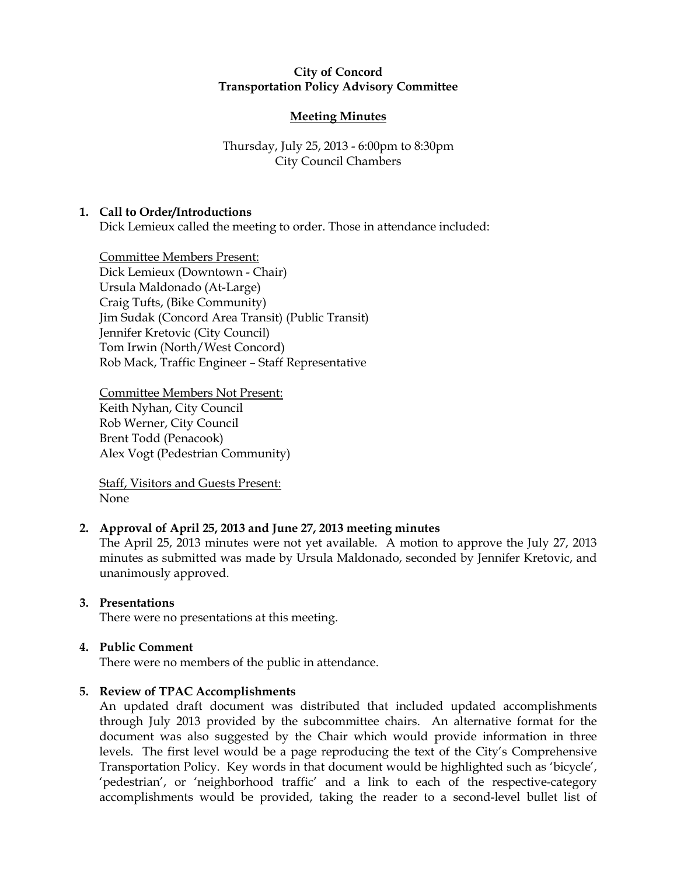### City of Concord Transportation Policy Advisory Committee

# Meeting Minutes

# Thursday, July 25, 2013 - 6:00pm to 8:30pm City Council Chambers

# 1. Call to Order/Introductions

Dick Lemieux called the meeting to order. Those in attendance included:

Committee Members Present: Dick Lemieux (Downtown - Chair) Ursula Maldonado (At-Large) Craig Tufts, (Bike Community) Jim Sudak (Concord Area Transit) (Public Transit) Jennifer Kretovic (City Council) Tom Irwin (North/West Concord) Rob Mack, Traffic Engineer – Staff Representative

Committee Members Not Present: Keith Nyhan, City Council Rob Werner, City Council Brent Todd (Penacook) Alex Vogt (Pedestrian Community)

Staff, Visitors and Guests Present: None

# 2. Approval of April 25, 2013 and June 27, 2013 meeting minutes

The April 25, 2013 minutes were not yet available. A motion to approve the July 27, 2013 minutes as submitted was made by Ursula Maldonado, seconded by Jennifer Kretovic, and unanimously approved.

# 3. Presentations

There were no presentations at this meeting.

# 4. Public Comment

There were no members of the public in attendance.

# 5. Review of TPAC Accomplishments

An updated draft document was distributed that included updated accomplishments through July 2013 provided by the subcommittee chairs. An alternative format for the document was also suggested by the Chair which would provide information in three levels. The first level would be a page reproducing the text of the City's Comprehensive Transportation Policy. Key words in that document would be highlighted such as 'bicycle', 'pedestrian', or 'neighborhood traffic' and a link to each of the respective-category accomplishments would be provided, taking the reader to a second-level bullet list of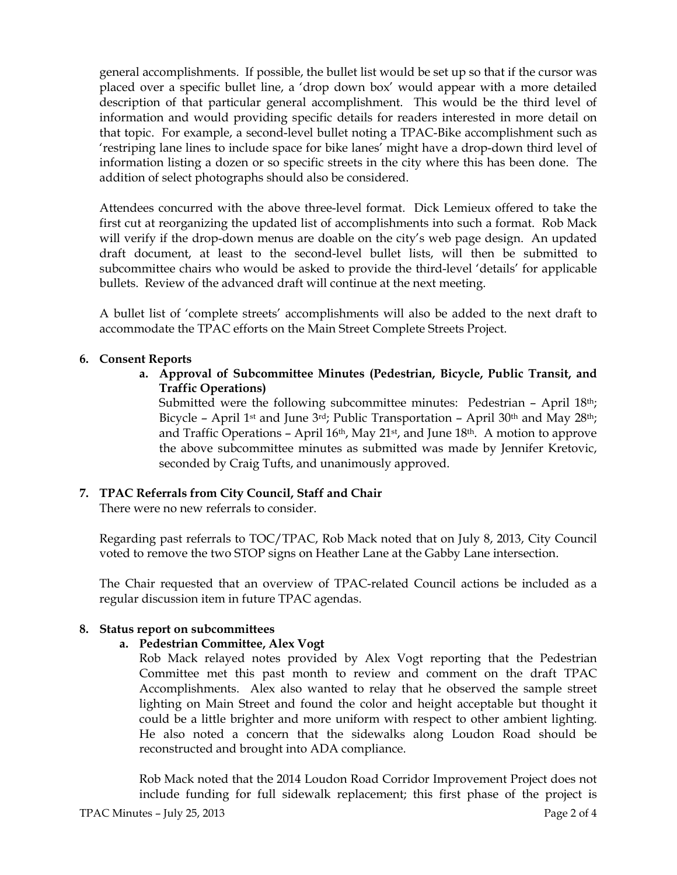general accomplishments. If possible, the bullet list would be set up so that if the cursor was placed over a specific bullet line, a 'drop down box' would appear with a more detailed description of that particular general accomplishment. This would be the third level of information and would providing specific details for readers interested in more detail on that topic. For example, a second-level bullet noting a TPAC-Bike accomplishment such as 'restriping lane lines to include space for bike lanes' might have a drop-down third level of information listing a dozen or so specific streets in the city where this has been done. The addition of select photographs should also be considered.

Attendees concurred with the above three-level format. Dick Lemieux offered to take the first cut at reorganizing the updated list of accomplishments into such a format. Rob Mack will verify if the drop-down menus are doable on the city's web page design. An updated draft document, at least to the second-level bullet lists, will then be submitted to subcommittee chairs who would be asked to provide the third-level 'details' for applicable bullets. Review of the advanced draft will continue at the next meeting.

A bullet list of 'complete streets' accomplishments will also be added to the next draft to accommodate the TPAC efforts on the Main Street Complete Streets Project.

# 6. Consent Reports

a. Approval of Subcommittee Minutes (Pedestrian, Bicycle, Public Transit, and Traffic Operations)

Submitted were the following subcommittee minutes: Pedestrian - April 18<sup>th</sup>; Bicycle – April 1st and June 3rd; Public Transportation – April 30th and May 28th; and Traffic Operations – April  $16th$ , May  $21st$ , and June  $18th$ . A motion to approve the above subcommittee minutes as submitted was made by Jennifer Kretovic, seconded by Craig Tufts, and unanimously approved.

# 7. TPAC Referrals from City Council, Staff and Chair

There were no new referrals to consider.

Regarding past referrals to TOC/TPAC, Rob Mack noted that on July 8, 2013, City Council voted to remove the two STOP signs on Heather Lane at the Gabby Lane intersection.

The Chair requested that an overview of TPAC-related Council actions be included as a regular discussion item in future TPAC agendas.

# 8. Status report on subcommittees

# a. Pedestrian Committee, Alex Vogt

Rob Mack relayed notes provided by Alex Vogt reporting that the Pedestrian Committee met this past month to review and comment on the draft TPAC Accomplishments. Alex also wanted to relay that he observed the sample street lighting on Main Street and found the color and height acceptable but thought it could be a little brighter and more uniform with respect to other ambient lighting. He also noted a concern that the sidewalks along Loudon Road should be reconstructed and brought into ADA compliance.

Rob Mack noted that the 2014 Loudon Road Corridor Improvement Project does not include funding for full sidewalk replacement; this first phase of the project is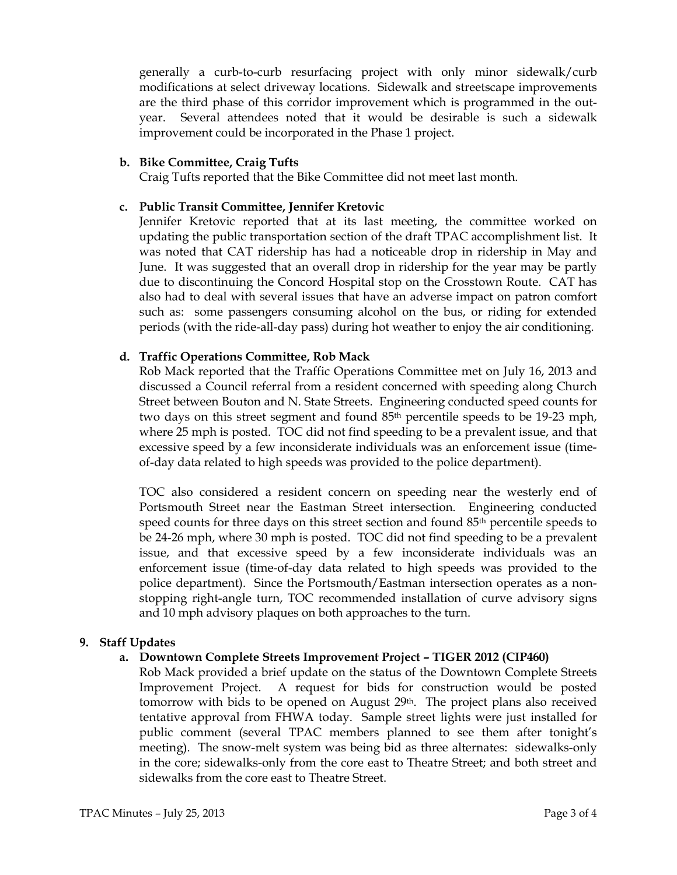generally a curb-to-curb resurfacing project with only minor sidewalk/curb modifications at select driveway locations. Sidewalk and streetscape improvements are the third phase of this corridor improvement which is programmed in the outyear. Several attendees noted that it would be desirable is such a sidewalk improvement could be incorporated in the Phase 1 project.

## b. Bike Committee, Craig Tufts

Craig Tufts reported that the Bike Committee did not meet last month.

## c. Public Transit Committee, Jennifer Kretovic

Jennifer Kretovic reported that at its last meeting, the committee worked on updating the public transportation section of the draft TPAC accomplishment list. It was noted that CAT ridership has had a noticeable drop in ridership in May and June. It was suggested that an overall drop in ridership for the year may be partly due to discontinuing the Concord Hospital stop on the Crosstown Route. CAT has also had to deal with several issues that have an adverse impact on patron comfort such as: some passengers consuming alcohol on the bus, or riding for extended periods (with the ride-all-day pass) during hot weather to enjoy the air conditioning.

### d. Traffic Operations Committee, Rob Mack

Rob Mack reported that the Traffic Operations Committee met on July 16, 2013 and discussed a Council referral from a resident concerned with speeding along Church Street between Bouton and N. State Streets. Engineering conducted speed counts for two days on this street segment and found 85th percentile speeds to be 19-23 mph, where 25 mph is posted. TOC did not find speeding to be a prevalent issue, and that excessive speed by a few inconsiderate individuals was an enforcement issue (timeof-day data related to high speeds was provided to the police department).

TOC also considered a resident concern on speeding near the westerly end of Portsmouth Street near the Eastman Street intersection. Engineering conducted speed counts for three days on this street section and found 85<sup>th</sup> percentile speeds to be 24-26 mph, where 30 mph is posted. TOC did not find speeding to be a prevalent issue, and that excessive speed by a few inconsiderate individuals was an enforcement issue (time-of-day data related to high speeds was provided to the police department). Since the Portsmouth/Eastman intersection operates as a nonstopping right-angle turn, TOC recommended installation of curve advisory signs and 10 mph advisory plaques on both approaches to the turn.

#### 9. Staff Updates

# a. Downtown Complete Streets Improvement Project – TIGER 2012 (CIP460)

Rob Mack provided a brief update on the status of the Downtown Complete Streets Improvement Project. A request for bids for construction would be posted tomorrow with bids to be opened on August  $29<sup>th</sup>$ . The project plans also received tentative approval from FHWA today. Sample street lights were just installed for public comment (several TPAC members planned to see them after tonight's meeting). The snow-melt system was being bid as three alternates: sidewalks-only in the core; sidewalks-only from the core east to Theatre Street; and both street and sidewalks from the core east to Theatre Street.